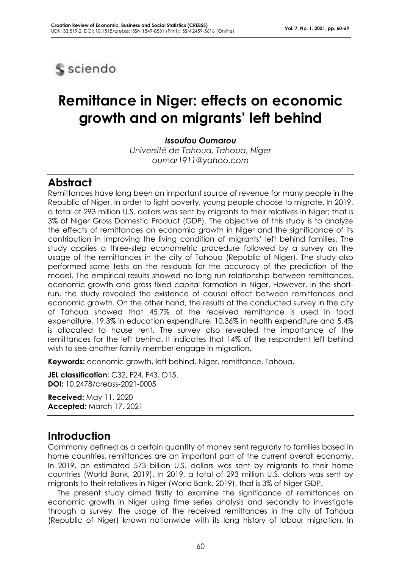

# **Remittance in Niger: effects on economic growth and on migrants' left behind**

*Issoufou Oumarou*

*Université de Tahoua, Tahoua, Niger oumar1911@yahoo.com*

### **Abstract**

Remittances have long been an important source of revenue for many people in the Republic of Niger. In order to fight poverty, young people choose to migrate. In 2019, a total of 293 million U.S. dollars was sent by migrants to their relatives in Niger; that is 3% of Niger Gross Domestic Product (GDP). The objective of this study is to analyze the effects of remittances on economic growth in Niger and the significance of its contribution in improving the living condition of migrants' left behind families. The study applies a three-step econometric procedure followed by a survey on the usage of the remittances in the city of Tahoua (Republic of Niger). The study also performed some tests on the residuals for the accuracy of the prediction of the model. The empirical results showed no long run relationship between remittances, economic growth and gross fixed capital formation in Niger. However, in the shortrun, the study revealed the existence of causal effect between remittances and economic growth. On the other hand, the results of the conducted survey in the city of Tahoua showed that 45.7% of the received remittance is used in food expenditure, 19.3% in education expenditure, 10.36% in health expenditure and 5.4% is allocated to house rent. The survey also revealed the importance of the remittances for the left behind. It indicates that 14% of the respondent left behind wish to see another family member engage in migration.

**Keywords:** economic growth, left behind, Niger, remittance, Tahoua.

**JEL classification:** C32, F24, F43, O15. **DOI:** 10.2478/crebss-2021-0005

**Received:** May 11, 2020 **Accepted:** March 17, 2021

## **Introduction**

Commonly defined as a certain quantity of money sent regularly to families based in home countries, remittances are an important part of the current overall economy. In 2019, an estimated 573 billion U.S. dollars was sent by migrants to their home countries (World Bank, 2019). In 2019, a total of 293 million U.S. dollars was sent by migrants to their relatives in Niger (World Bank, 2019), that is 3% of Niger GDP.

The present study aimed firstly to examine the significance of remittances on economic growth in Niger using time series analysis and secondly to investigate through a survey, the usage of the received remittances in the city of Tahoua (Republic of Niger) known nationwide with its long history of labour migration. In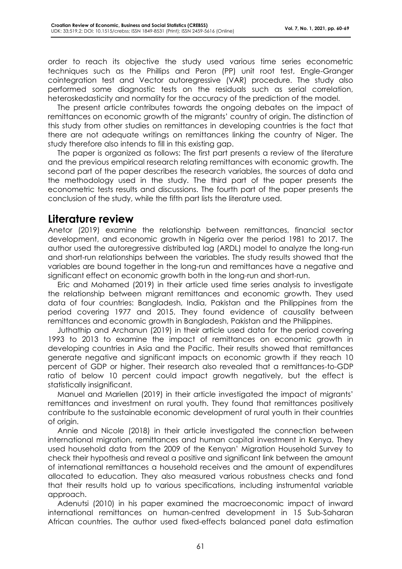order to reach its objective the study used various time series econometric techniques such as the Phillips and Peron (PP) unit root test, Engle-Granger cointegration test and Vector autoregressive (VAR) procedure. The study also performed some diagnostic tests on the residuals such as serial correlation, heteroskedasticity and normality for the accuracy of the prediction of the model.

The present article contributes towards the ongoing debates on the impact of remittances on economic growth of the migrants' country of origin. The distinction of this study from other studies on remittances in developing countries is the fact that there are not adequate writings on remittances linking the country of Niger. The study therefore also intends to fill in this existing gap.

The paper is organized as follows: The first part presents a review of the literature and the previous empirical research relating remittances with economic growth. The second part of the paper describes the research variables, the sources of data and the methodology used in the study. The third part of the paper presents the econometric tests results and discussions. The fourth part of the paper presents the conclusion of the study, while the fifth part lists the literature used.

### **Literature review**

Anetor (2019) examine the relationship between remittances, financial sector development, and economic growth in Nigeria over the period 1981 to 2017. The author used the autoregressive distributed lag (ARDL) model to analyze the long-run and short-run relationships between the variables. The study results showed that the variables are bound together in the long-run and remittances have a negative and significant effect on economic growth both in the long-run and short-run.

Eric and Mohamed (2019) in their article used time series analysis to investigate the relationship between migrant remittances and economic growth. They used data of four countries: Bangladesh, India, Pakistan and the Philippines from the period covering 1977 and 2015. They found evidence of causality between remittances and economic growth in Bangladesh, Pakistan and the Philippines.

Juthathip and Archanun (2019) in their article used data for the period covering 1993 to 2013 to examine the impact of remittances on economic growth in developing countries in Asia and the Pacific. Their results showed that remittances generate negative and significant impacts on economic growth if they reach 10 percent of GDP or higher. Their research also revealed that a remittances-to-GDP ratio of below 10 percent could impact growth negatively, but the effect is statistically insignificant.

Manuel and Mariellen (2019) in their article investigated the impact of migrants' remittances and investment on rural youth. They found that remittances positively contribute to the sustainable economic development of rural youth in their countries of origin.

Annie and Nicole (2018) in their article investigated the connection between international migration, remittances and human capital investment in Kenya. They used household data from the 2009 of the Kenyan' Migration Household Survey to check their hypothesis and reveal a positive and significant link between the amount of international remittances a household receives and the amount of expenditures allocated to education. They also measured various robustness checks and fond that their results hold up to various specifications, including instrumental variable approach.

Adenutsi (2010) in his paper examined the macroeconomic impact of inward international remittances on human-centred development in 15 Sub-Saharan African countries. The author used fixed-effects balanced panel data estimation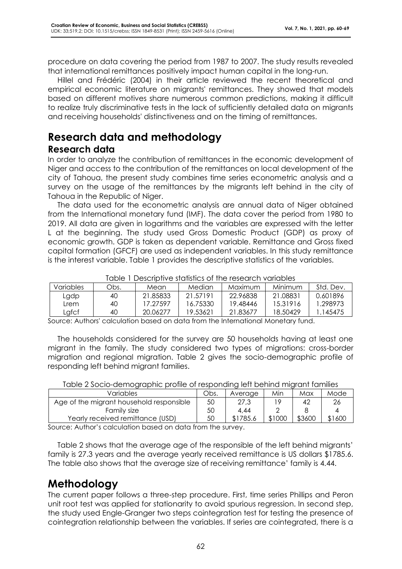procedure on data covering the period from 1987 to 2007. The study results revealed that international remittances positively impact human capital in the long-run.

Hillel and Frédéric (2004) in their article reviewed the recent theoretical and empirical economic literature on migrants' remittances. They showed that models based on different motives share numerous common predictions, making it difficult to realize truly discriminative tests in the lack of sufficiently detailed data on migrants and receiving households' distinctiveness and on the timing of remittances.

### **Research data and methodology Research data**

In order to analyze the contribution of remittances in the economic development of Niger and access to the contribution of the remittances on local development of the city of Tahoua, the present study combines time series econometric analysis and a survey on the usage of the remittances by the migrants left behind in the city of Tahoua in the Republic of Niger.

The data used for the econometric analysis are annual data of Niger obtained from the International monetary fund (IMF). The data cover the period from 1980 to 2019. All data are given in logarithms and the variables are expressed with the letter L at the beginning. The study used Gross Domestic Product (GDP) as proxy of economic growth. GDP is taken as dependent variable. Remittance and Gross fixed capital formation (GFCF) are used as independent variables. In this study remittance is the interest variable. Table 1 provides the descriptive statistics of the variables.

|                  | $\sim$<br><u>DUSSININ I SIGNISHOS U THU TUSUU UT TUHUNIUS</u> |           |          |          |          |           |
|------------------|---------------------------------------------------------------|-----------|----------|----------|----------|-----------|
| <b>Variables</b> | Obs.                                                          | Mean      | Median   | Maximum  | Minimum  | Std. Dev. |
| Lgdp             | 40                                                            | 21.85833  | 21.57191 | 22.96838 | 21.08831 | 0.601896  |
| Lrem             | 40                                                            | 17 27.597 | 16.75330 | 19.48446 | 15.31916 | 1.298973  |
| Lafcf            | 40                                                            | 20.06277  | 19.53621 | 21.83677 | 18.50429 | 145475    |

Table 1 Descriptive statistics of the research variables

Source: Authors' calculation based on data from the International Monetary fund.

The households considered for the survey are 50 households having at least one migrant in the family. The study considered two types of migrations: cross-border migration and regional migration. Table 2 gives the socio-demographic profile of responding left behind migrant families.

| TUDIO 2 00010 UUTIIOUNUU MUTTO OFTOJOONUMI IUTI DOFIII IUTIIUI UITI IUTIIIIUJ |      |          |        |        |        |
|-------------------------------------------------------------------------------|------|----------|--------|--------|--------|
| Variables                                                                     | Obs. | Average  | Min    | Max    | Mode   |
| Age of the migrant household responsible                                      | 50   | 27.3     | 10     | 42     |        |
| Family size                                                                   | 50   | 4.44     |        |        |        |
| Yearly received remittance (USD)                                              | 50   | \$1785.6 | \$1000 | \$3600 | \$1600 |

Table 2 Socio-demographic profile of responding left behind migrant families

Source: Author's calculation based on data from the survey.

Table 2 shows that the average age of the responsible of the left behind migrants' family is 27.3 years and the average yearly received remittance is US dollars \$1785.6. The table also shows that the average size of receiving remittance' family is 4.44.

# **Methodology**

The current paper follows a three-step procedure. First, time series Phillips and Peron unit root test was applied for stationarity to avoid spurious regression. In second step, the study used Engle-Granger two steps cointegration test for testing the presence of cointegration relationship between the variables. If series are cointegrated, there is a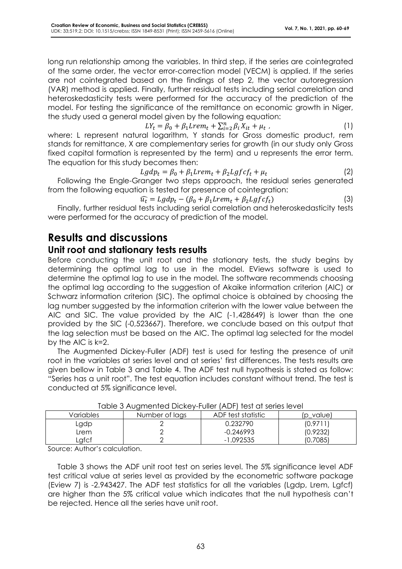long run relationship among the variables. In third step, if the series are cointegrated of the same order, the vector error-correction model (VECM) is applied. If the series are not cointegrated based on the findings of step 2, the vector autoregression (VAR) method is applied. Finally, further residual tests including serial correlation and heteroskedasticity tests were performed for the accuracy of the prediction of the model. For testing the significance of the remittance on economic growth in Niger, the study used a general model given by the following equation:

$$
LY_t = \beta_0 + \beta_1 Lrem_t + \sum_{i=2}^n \beta_i X_{it} + \mu_t \tag{1}
$$

where: L represent natural logarithm, Y stands for Gross domestic product, rem stands for remittance, X are complementary series for growth (in our study only Gross fixed capital formation is represented by the term) and u represents the error term. The equation for this study becomes then:

$$
Lgdp_t = \beta_0 + \beta_1 Lrem_t + \beta_2 Lgfcf_t + \mu_t
$$
\n(2)

Following the Engle-Granger two steps approach, the residual series generated from the following equation is tested for presence of cointegration:

$$
\widehat{u_t} = Lgdp_t - (\beta_0 + \beta_1 Lrem_t + \beta_2 Lgfcf_t)
$$
\n(3)

Finally, further residual tests including serial correlation and heteroskedasticity tests were performed for the accuracy of prediction of the model.

### **Results and discussions**

#### **Unit root and stationary tests results**

Before conducting the unit root and the stationary tests, the study begins by determining the optimal lag to use in the model. EViews software is used to determine the optimal lag to use in the model. The software recommends choosing the optimal lag according to the suggestion of Akaike information criterion (AIC) or Schwarz information criterion (SIC). The optimal choice is obtained by choosing the lag number suggested by the information criterion with the lower value between the AIC and SIC. The value provided by the AIC (-1,428649) is lower than the one provided by the SIC (-0,523667). Therefore, we conclude based on this output that the lag selection must be based on the AIC. The optimal lag selected for the model by the AIC is k=2.

The Augmented Dickey-Fuller (ADF) test is used for testing the presence of unit root in the variables at series level and at series' first differences. The tests results are given bellow in Table 3 and Table 4. The ADF test null hypothesis is stated as follow: "Series has a unit root". The test equation includes constant without trend. The test is conducted at 5% significance level.

| וטאס טאנט די קייטארין ויטווט רינאטן וואס די און וואס די טומט |                |                    |              |  |  |
|--------------------------------------------------------------|----------------|--------------------|--------------|--|--|
| Variables                                                    | Number of lags | ADF test statistic | $(p$ _value) |  |  |
| ∟gdp                                                         |                | 0.232790           | (0.9711)     |  |  |
| Lrem                                                         |                | -0.246993          | (0.9232)     |  |  |
| Lafcf                                                        |                | -1.092535          | (0.7085)     |  |  |

|  | Table 3 Augmented Dickey-Fuller (ADF) test at series level |  |  |
|--|------------------------------------------------------------|--|--|
|--|------------------------------------------------------------|--|--|

Source: Author's calculation.

Table 3 shows the ADF unit root test on series level. The 5% significance level ADF test critical value at series level as provided by the econometric software package (Eview 7) is -2.943427. The ADF test statistics for all the variables (Lgdp, Lrem, Lgfcf) are higher than the 5% critical value which indicates that the null hypothesis can't be rejected. Hence all the series have unit root.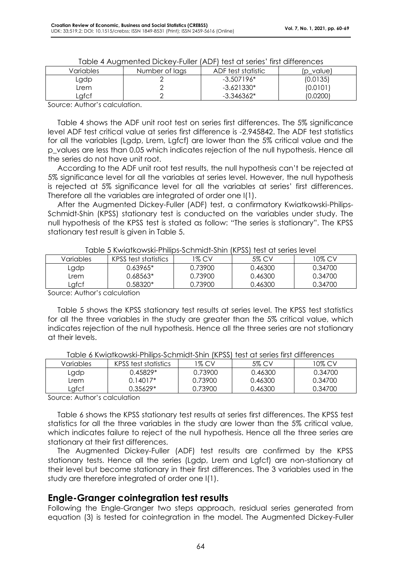|           | , addition of Digital Property (1919) (1931 an Sonics Than annoitences |                    |           |
|-----------|------------------------------------------------------------------------|--------------------|-----------|
| Variables | Number of lags                                                         | ADF test statistic | (p value) |
| ∟gdp      |                                                                        | $-3.507196*$       | (0.0135)  |
| Lrem      |                                                                        | $-3.621330*$       | (0.0101)  |
| _gfcf     |                                                                        | $-3.346362*$       | (0.0200)  |

| Table 4 Augmented Dickey-Fuller (ADF) test at series' first differences |  |  |
|-------------------------------------------------------------------------|--|--|
|-------------------------------------------------------------------------|--|--|

Source: Author's calculation.

Table 4 shows the ADF unit root test on series first differences. The 5% significance level ADF test critical value at series first difference is -2.945842. The ADF test statistics for all the variables (Lgdp, Lrem, Lgfcf) are lower than the 5% critical value and the p\_values are less than 0.05 which indicates rejection of the null hypothesis. Hence all the series do not have unit root.

According to the ADF unit root test results, the null hypothesis can't be rejected at 5% significance level for all the variables at series level. However, the null hypothesis is rejected at 5% significance level for all the variables at series' first differences. Therefore all the variables are integrated of order one I(1).

After the Augmented Dickey-Fuller (ADF) test, a confirmatory Kwiatkowski-Philips-Schmidt-Shin (KPSS) stationary test is conducted on the variables under study. The null hypothesis of the KPSS test is stated as follow: "The series is stationary". The KPSS stationary test result is given in Table 5.

|           | וטזטונטוועניוט ונטון וויין וויוויטווויווען וויין וואנזיטווויווויטווויווויטוווויט טושט |         |         |         |
|-----------|---------------------------------------------------------------------------------------|---------|---------|---------|
| Variables | KPSS test statistics                                                                  | 1% CV   | 5% CV   | 10% CV  |
| rdqb      | $0.63965*$                                                                            | 0.73900 | 0.46300 | 0.34700 |
| Lrem      | $0.68563*$                                                                            | 0.73900 | 0.46300 | 0.34700 |
| Lgfcf     | 0.58320*                                                                              | 0.73900 | 0.46300 | 0.34700 |

Table 5 Kwiatkowski-Philips-Schmidt-Shin (KPSS) test at series level

Source: Author's calculation

Table 5 shows the KPSS stationary test results at series level. The KPSS test statistics for all the three variables in the study are greater than the 5% critical value, which indicates rejection of the null hypothesis. Hence all the three series are not stationary at their levels.

| Variables | KPSS test statistics | 1% CV   | 5% CV   | 10% CV  |
|-----------|----------------------|---------|---------|---------|
| raqb      | 0.45829*             | 0.73900 | 0.46300 | 0.34700 |
| Lrem      | $0.14017*$           | 0.73900 | 0.46300 | 0.34700 |
| Lafcf     | $0.35629*$           | 0.73900 | 0.46300 | 0.34700 |

Table 6 Kwiatkowski-Philips-Schmidt-Shin (KPSS) test at series first differences

Source: Author's calculation

Table 6 shows the KPSS stationary test results at series first differences. The KPSS test statistics for all the three variables in the study are lower than the 5% critical value, which indicates failure to reject of the null hypothesis. Hence all the three series are stationary at their first differences.

The Augmented Dickey-Fuller (ADF) test results are confirmed by the KPSS stationary tests. Hence all the series (Lgdp, Lrem and Lgfcf) are non-stationary at their level but become stationary in their first differences. The 3 variables used in the study are therefore integrated of order one I(1).

#### **Engle-Granger cointegration test results**

Following the Engle-Granger two steps approach, residual series generated from equation (3) is tested for cointegration in the model. The Augmented Dickey-Fuller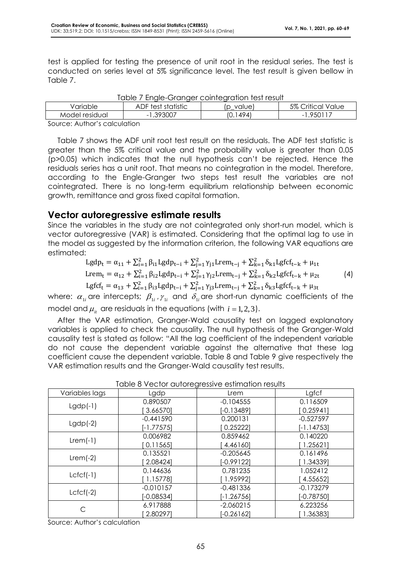test is applied for testing the presence of unit root in the residual series. The test is conducted on series level at 5% significance level. The test result is given bellow in Table 7.

| TUNIA<br><u>ENGLE-GIGHGEL COINTEGRATION TEST LESUIT</u> |                    |               |                   |  |  |
|---------------------------------------------------------|--------------------|---------------|-------------------|--|--|
| Variable                                                | ADF test statistic | value)        | 5% Critical Value |  |  |
| Model residual                                          | -1.393007          | 1494)<br>10.1 | .950117<br>- 1    |  |  |
| .                                                       |                    |               |                   |  |  |

|  |  | Table 7 Engle-Granger cointegration test result |
|--|--|-------------------------------------------------|

Source: Author's calculation

Table 7 shows the ADF unit root test result on the residuals. The ADF test statistic is greater than the 5% critical value and the probability value is greater than 0.05 (p>0.05) which indicates that the null hypothesis can't be rejected. Hence the residuals series has a unit root. That means no cointegration in the model. Therefore, according to the Engle-Granger two steps test result the variables are not cointegrated. There is no long-term equilibrium relationship between economic growth, remittance and gross fixed capital formation.

#### **Vector autoregressive estimate results**

Since the variables in the study are not cointegrated only short-run model, which is vector autoregressive (VAR) is estimated. Considering that the optimal lag to use in the model as suggested by the information criterion, the following VAR equations are estimated:

$$
Lgdp_t = \alpha_{11} + \sum_{i=1}^2 \beta_{i1} Lgdp_{t-i} + \sum_{j=1}^2 \gamma_{j1} Lrem_{t-j} + \sum_{k=1}^2 \delta_{k1} Lgfcf_{t-k} + \mu_{1t}
$$
  
\n
$$
Lrem_t = \alpha_{12} + \sum_{i=1}^2 \beta_{i2} Lgdp_{t-i} + \sum_{j=1}^2 \gamma_{j2} Lrem_{t-j} + \sum_{k=1}^2 \delta_{k2} Lgfcf_{t-k} + \mu_{2t}
$$
 (4)

Lgfcf<sub>t</sub> =  $\alpha_{13} + \sum_{i=1}^{2} \beta_{i3}$ Lgdp<sub>t−i</sub> +  $\sum_{j=1}^{2} \gamma_{j3}$ Lrem<sub>t−j</sub> +  $\sum_{k=1}^{2} \delta_{k3}$ Lgfcf<sub>t−k</sub> +  $\mu_{3t}$ 

where:  $\alpha_{1i}$  are intercepts;  $\beta_{1i}$  ,  $\gamma_{1i}$  and  $\delta_{1i}$  are short-run dynamic coefficients of the model and  $\mu_{_{it}}$  are residuals in the equations (with  $\,i$  = 1, 2, 3).

After the VAR estimation, Granger-Wald causality test on lagged explanatory variables is applied to check the causality. The null hypothesis of the Granger-Wald causality test is stated as follow: "All the lag coefficient of the independent variable do not cause the dependent variable against the alternative that these lag coefficient cause the dependent variable. Table 8 and Table 9 give respectively the VAR estimation results and the Granger-Wald causality test results.

| Table 8 vector autoregressive estimation results |              |              |              |  |  |
|--------------------------------------------------|--------------|--------------|--------------|--|--|
| Variables lags                                   | Lgdp         | Lrem         | Lgfcf        |  |  |
|                                                  | 0.890507     | $-0.104555$  | 0.116509     |  |  |
| $Lgdp(-1)$                                       | 3.66570]     | $[-0.13489]$ | [0.2594]     |  |  |
|                                                  | $-0.441590$  | 0.200131     | $-0.527597$  |  |  |
| $Lgdp(-2)$                                       | $[-1.77575]$ | 0.25222      | $[-1.14753]$ |  |  |
| $Lrem(-1)$                                       | 0.006982     | 0.859462     | 0.140220     |  |  |
|                                                  | 0.11565      | 4.461601     | 1.256211     |  |  |
|                                                  | 0.135521     | $-0.205645$  | 0.161496     |  |  |
| $Lrem(-2)$                                       | 2.08424]     | $[-0.99122]$ | 1.343391     |  |  |
|                                                  | 0.144636     | 0.781235     | 1.052412     |  |  |
| $Lcfcf(-1)$                                      | 1.157781     | 1.959921     | 4.55652      |  |  |
| $Lcfcf(-2)$                                      | $-0.010157$  | $-0.481336$  | $-0.173279$  |  |  |
|                                                  | $[-0.08534]$ | $[-1.26756]$ | $[-0.78750]$ |  |  |
|                                                  | 6.917888     | $-2.060215$  | 6.223256     |  |  |
| С                                                | 2.802971     | $[-0.26162]$ | 1.363831     |  |  |

Table 8 Vector autoregressive estimation results

Source: Author's calculation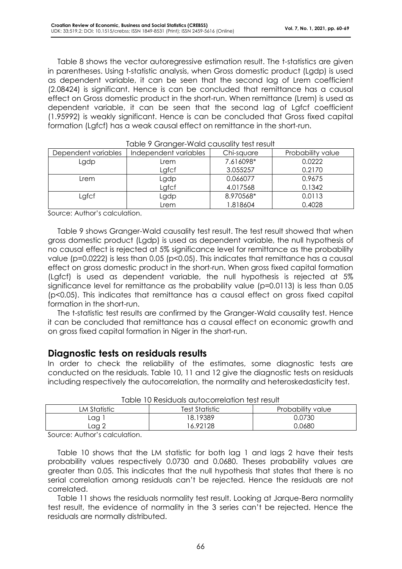Table 8 shows the vector autoregressive estimation result. The t-statistics are given in parentheses. Using t-statistic analysis, when Gross domestic product (Lgdp) is used as dependent variable, it can be seen that the second lag of Lrem coefficient (2.08424) is significant. Hence is can be concluded that remittance has a causal effect on Gross domestic product in the short-run. When remittance (Lrem) is used as dependent variable, it can be seen that the second lag of Lgfcf coefficient (1.95992) is weakly significant. Hence is can be concluded that Gross fixed capital formation (Lgfcf) has a weak causal effect on remittance in the short-run.

| <u>, abio 7 Orangor 11 ara-caosainy 1031 rosom</u> |                       |            |                   |  |  |
|----------------------------------------------------|-----------------------|------------|-------------------|--|--|
| Dependent variables                                | Independent variables | Chi-square | Probability value |  |  |
| Lgdp                                               | Lrem                  | 7.616098*  | 0.0222            |  |  |
|                                                    | Lafcf                 | 3.055257   | 0.2170            |  |  |
| Lrem                                               | Lgdp                  | 0.066077   | 0.9675            |  |  |
|                                                    | Lgfcf                 | 4.017568   | 0.1342            |  |  |
| Lafcf                                              | Lgdp                  | 8.970568*  | 0.0113            |  |  |
|                                                    | Lrem                  | 1.818604   | 0.4028            |  |  |

Table 9 Granger-Wald causality test result

Source: Author's calculation.

Table 9 shows Granger-Wald causality test result. The test result showed that when gross domestic product (Lgdp) is used as dependent variable, the null hypothesis of no causal effect is rejected at 5% significance level for remittance as the probability value (p=0.0222) is less than 0.05 (p<0.05). This indicates that remittance has a causal effect on gross domestic product in the short-run. When gross fixed capital formation (Lgfcf) is used as dependent variable, the null hypothesis is rejected at 5% significance level for remittance as the probability value (p=0.0113) is less than 0.05 (p<0.05). This indicates that remittance has a causal effect on gross fixed capital formation in the short-run.

The t-statistic test results are confirmed by the Granger-Wald causality test. Hence it can be concluded that remittance has a causal effect on economic growth and on gross fixed capital formation in Niger in the short-run.

#### **Diagnostic tests on residuals results**

In order to check the reliability of the estimates, some diagnostic tests are conducted on the residuals. Table 10, 11 and 12 give the diagnostic tests on residuals including respectively the autocorrelation, the normality and heteroskedasticity test.

| ושטט ופארוסווסטווסטווסטווואוס וועגר |                |                   |  |  |  |
|-------------------------------------|----------------|-------------------|--|--|--|
| LM Statistic                        | Test Statistic | Probability value |  |  |  |
| Lag                                 | 18.19389       | 0.0730            |  |  |  |
| Laa 2                               | 6.92128        | 0.0680            |  |  |  |

Table 10 Residuals autocorrelation test result

Source: Author's calculation.

Table 10 shows that the LM statistic for both lag 1 and lags 2 have their tests probability values respectively 0.0730 and 0.0680. Theses probability values are greater than 0.05. This indicates that the null hypothesis that states that there is no serial correlation among residuals can't be rejected. Hence the residuals are not correlated.

Table 11 shows the residuals normality test result. Looking at Jarque-Bera normality test result, the evidence of normality in the 3 series can't be rejected. Hence the residuals are normally distributed.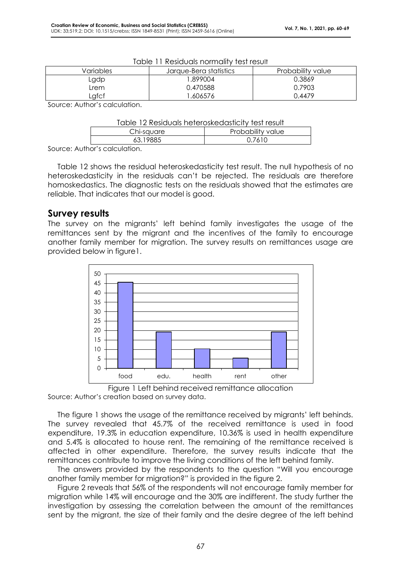| Variables | Jarque-Bera statistics | Probability value |
|-----------|------------------------|-------------------|
| ∟gdp      | .899004                | 0.3869            |
| _rem      | 0.470588               | 0.7903            |
| .afcf     | .606576                | 0.4479            |

| Table 11 Residuals normality test result |  |  |
|------------------------------------------|--|--|
|------------------------------------------|--|--|

Source: Author's calculation.

| Table 12 Residuals heteroskedasticity test result |                   |  |  |  |
|---------------------------------------------------|-------------------|--|--|--|
| Chi-sauare                                        | Probability value |  |  |  |
| 63.19885                                          | 0.7610            |  |  |  |

Source: Author's calculation.

Table 12 shows the residual heteroskedasticity test result. The null hypothesis of no heteroskedasticity in the residuals can't be rejected. The residuals are therefore homoskedastics. The diagnostic tests on the residuals showed that the estimates are reliable. That indicates that our model is good.

#### **Survey results**

The survey on the migrants' left behind family investigates the usage of the remittances sent by the migrant and the incentives of the family to encourage another family member for migration. The survey results on remittances usage are provided below in figure1.



Figure 1 Left behind received remittance allocation Source: Author's creation based on survey data.

The figure 1 shows the usage of the remittance received by migrants' left behinds. The survey revealed that 45.7% of the received remittance is used in food expenditure, 19.3% in education expenditure, 10.36% is used in health expenditure and 5.4% is allocated to house rent. The remaining of the remittance received is affected in other expenditure. Therefore, the survey results indicate that the remittances contribute to improve the living conditions of the left behind family.

The answers provided by the respondents to the question "Will you encourage another family member for migration?" is provided in the figure 2.

Figure 2 reveals that 56% of the respondents will not encourage family member for migration while 14% will encourage and the 30% are indifferent. The study further the investigation by assessing the correlation between the amount of the remittances sent by the migrant, the size of their family and the desire degree of the left behind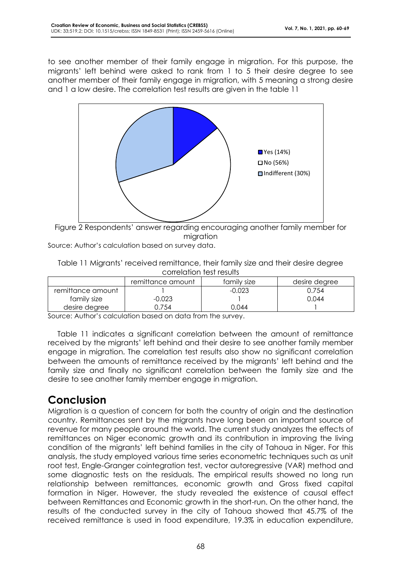to see another member of their family engage in migration. For this purpose, the migrants' left behind were asked to rank from 1 to 5 their desire degree to see another member of their family engage in migration, with 5 meaning a strong desire and 1 a low desire. The correlation test results are given in the table 11



Figure 2 Respondents' answer regarding encouraging another family member for migration

Source: Author's calculation based on survey data.

Table 11 Migrants' received remittance, their family size and their desire degree correlation test results

|                   | remittance amount | family size | desire degree |
|-------------------|-------------------|-------------|---------------|
| remittance amount |                   | $-0.023$    | 0.754         |
| family size       | $-0.023$          |             | 0.044         |
| desire degree     | .754              | 0.044       |               |

Source: Author's calculation based on data from the survey.

Table 11 indicates a significant correlation between the amount of remittance received by the migrants' left behind and their desire to see another family member engage in migration. The correlation test results also show no significant correlation between the amounts of remittance received by the migrants' left behind and the family size and finally no significant correlation between the family size and the desire to see another family member engage in migration.

# **Conclusion**

Migration is a question of concern for both the country of origin and the destination country. Remittances sent by the migrants have long been an important source of revenue for many people around the world. The current study analyzes the effects of remittances on Niger economic growth and its contribution in improving the living condition of the migrants' left behind families in the city of Tahoua in Niger. For this analysis, the study employed various time series econometric techniques such as unit root test, Engle-Granger cointegration test, vector autoregressive (VAR) method and some diagnostic tests on the residuals. The empirical results showed no long run relationship between remittances, economic growth and Gross fixed capital formation in Niger. However, the study revealed the existence of causal effect between Remittances and Economic growth in the short-run. On the other hand, the results of the conducted survey in the city of Tahoua showed that 45.7% of the received remittance is used in food expenditure, 19.3% in education expenditure,